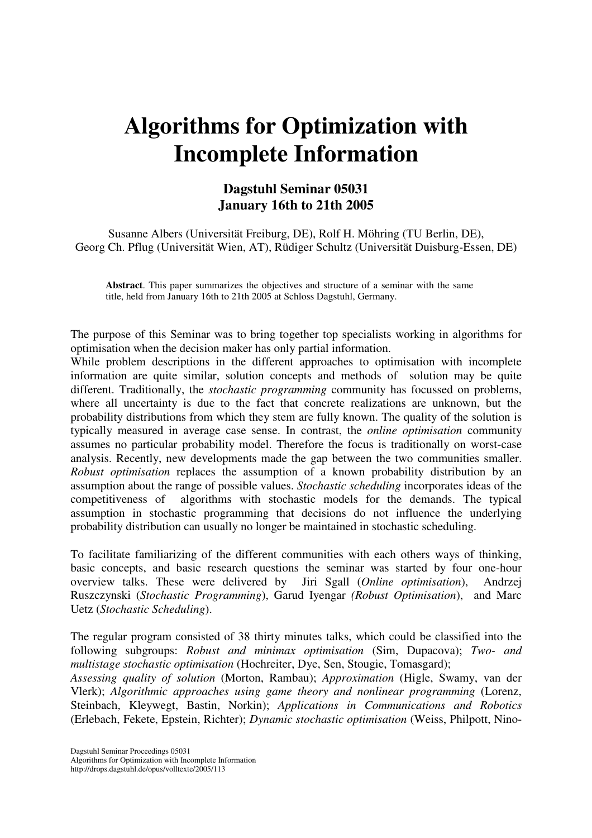## **Algorithms for Optimization with Incomplete Information**

## **Dagstuhl Seminar 05031 January 16th to 21th 2005**

Susanne Albers (Universität Freiburg, DE), Rolf H. Möhring (TU Berlin, DE), Georg Ch. Pflug (Universität Wien, AT), Rüdiger Schultz (Universität Duisburg-Essen, DE)

**Abstract**. This paper summarizes the objectives and structure of a seminar with the same title, held from January 16th to 21th 2005 at Schloss Dagstuhl, Germany.

The purpose of this Seminar was to bring together top specialists working in algorithms for optimisation when the decision maker has only partial information.

While problem descriptions in the different approaches to optimisation with incomplete information are quite similar, solution concepts and methods of solution may be quite different. Traditionally, the *stochastic programming* community has focussed on problems, where all uncertainty is due to the fact that concrete realizations are unknown, but the probability distributions from which they stem are fully known. The quality of the solution is typically measured in average case sense. In contrast, the *online optimisation* community assumes no particular probability model. Therefore the focus is traditionally on worst-case analysis. Recently, new developments made the gap between the two communities smaller. *Robust optimisation* replaces the assumption of a known probability distribution by an assumption about the range of possible values. *Stochastic scheduling* incorporates ideas of the competitiveness of algorithms with stochastic models for the demands. The typical assumption in stochastic programming that decisions do not influence the underlying probability distribution can usually no longer be maintained in stochastic scheduling.

To facilitate familiarizing of the different communities with each others ways of thinking, basic concepts, and basic research questions the seminar was started by four one-hour overview talks. These were delivered by Jiri Sgall (*Online optimisation*), Andrzej Ruszczynski (*Stochastic Programming*), Garud Iyengar *(Robust Optimisation*), and Marc Uetz (*Stochastic Scheduling*).

The regular program consisted of 38 thirty minutes talks, which could be classified into the following subgroups: *Robust and minimax optimisation* (Sim, Dupacova); *Two- and multistage stochastic optimisation* (Hochreiter, Dye, Sen, Stougie, Tomasgard);

*Assessing quality of solution* (Morton, Rambau); *Approximation* (Higle, Swamy, van der Vlerk); *Algorithmic approaches using game theory and nonlinear programming* (Lorenz, Steinbach, Kleywegt, Bastin, Norkin); *Applications in Communications and Robotics* (Erlebach, Fekete, Epstein, Richter); *Dynamic stochastic optimisation* (Weiss, Philpott, Nino-